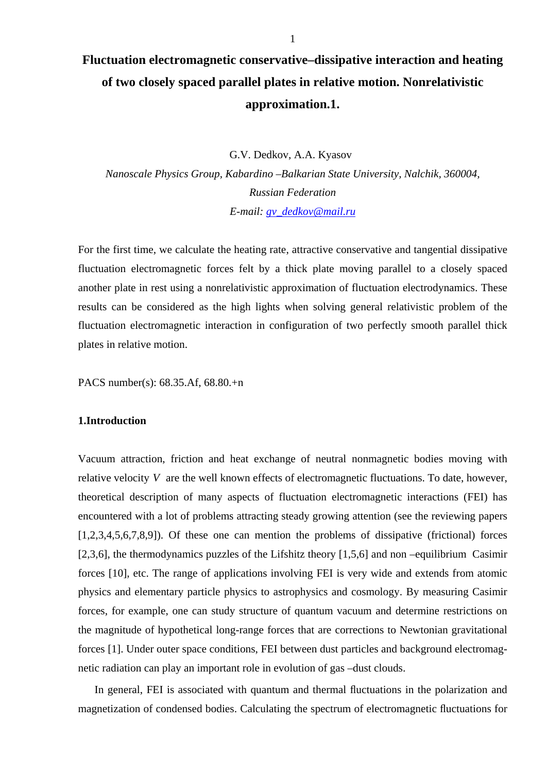# **Fluctuation electromagnetic conservative–dissipative interaction and heating of two closely spaced parallel plates in relative motion. Nonrelativistic approximation.1.**

G.V. Dedkov, A.A. Kyasov

*Nanoscale Physics Group, Kabardino –Balkarian State University, Nalchik, 360004, Russian Federation E-mail: [gv\\_dedkov@mail.ru](mailto:gv_dedkov@mail.ru)*

For the first time, we calculate the heating rate, attractive conservative and tangential dissipative fluctuation electromagnetic forces felt by a thick plate moving parallel to a closely spaced another plate in rest using a nonrelativistic approximation of fluctuation electrodynamics. These results can be considered as the high lights when solving general relativistic problem of the fluctuation electromagnetic interaction in configuration of two perfectly smooth parallel thick plates in relative motion.

PACS number(s): 68.35.Af, 68.80.+n

# **1.Introduction**

Vacuum attraction, friction and heat exchange of neutral nonmagnetic bodies moving with relative velocity *V* are the well known effects of electromagnetic fluctuations. To date, however, theoretical description of many aspects of fluctuation electromagnetic interactions (FEI) has encountered with a lot of problems attracting steady growing attention (see the reviewing papers [1,2,3,4,5,6,7,8,9]). Of these one can mention the problems of dissipative (frictional) forces [2,3,6], the thermodynamics puzzles of the Lifshitz theory [1,5,6] and non –equilibrium Casimir forces [10], etc. The range of applications involving FEI is very wide and extends from atomic physics and elementary particle physics to astrophysics and cosmology. By measuring Casimir forces, for example, one can study structure of quantum vacuum and determine restrictions on the magnitude of hypothetical long-range forces that are corrections to Newtonian gravitational forces [1]. Under outer space conditions, FEI between dust particles and background electromagnetic radiation can play an important role in evolution of gas –dust clouds.

In general, FEI is associated with quantum and thermal fluctuations in the polarization and magnetization of condensed bodies. Calculating the spectrum of electromagnetic fluctuations for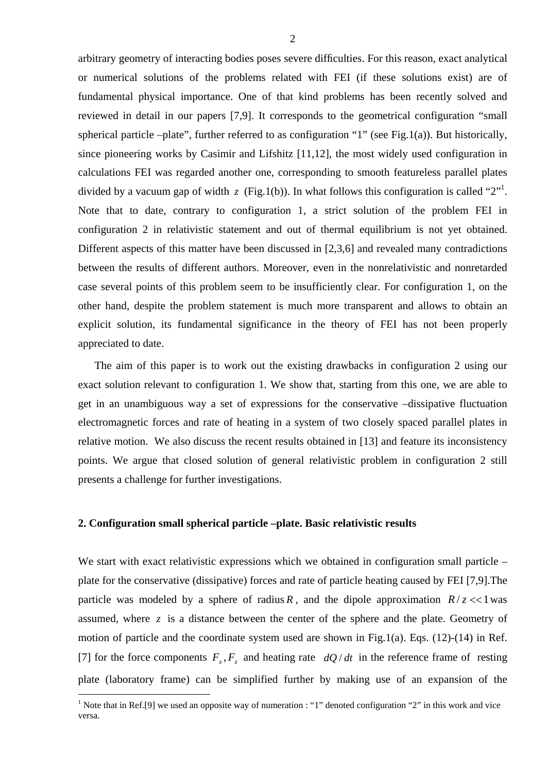arbitrary geometry of interacting bodies poses severe difficulties. For this reason, exact analytical or numerical solutions of the problems related with FEI (if these solutions exist) are of fundamental physical importance. One of that kind problems has been recently solved and reviewed in detail in our papers [7,9]. It corresponds to the geometrical configuration "small spherical particle –plate", further referred to as configuration "1" (see Fig.1(a)). But historically, since pioneering works by Casimir and Lifshitz [11,12], the most widely used configuration in calculations FEI was regarded another one, corresponding to smooth featureless parallel plates divided by a vacuum gap of width  $z$  (Fig.1(b)). In what follows this configuration is called "2"<sup>1</sup>. Note that to date, contrary to configuration 1, a strict solution of the problem FEI in configuration 2 in relativistic statement and out of thermal equilibrium is not yet obtained. Different aspects of this matter have been discussed in [2,3,6] and revealed many contradictions between the results of different authors. Moreover, even in the nonrelativistic and nonretarded case several points of this problem seem to be insufficiently clear. For configuration 1, on the other hand, despite the problem statement is much more transparent and allows to obtain an explicit solution, its fundamental significance in the theory of FEI has not been properly appreciated to date.

The aim of this paper is to work out the existing drawbacks in configuration 2 using our exact solution relevant to configuration 1. We show that, starting from this one, we are able to get in an unambiguous way a set of expressions for the conservative –dissipative fluctuation electromagnetic forces and rate of heating in a system of two closely spaced parallel plates in relative motion. We also discuss the recent results obtained in [13] and feature its inconsistency points. We argue that closed solution of general relativistic problem in configuration 2 still presents a challenge for further investigations.

## **2. Configuration small spherical particle –plate. Basic relativistic results**

 $\overline{a}$ 

We start with exact relativistic expressions which we obtained in configuration small particle – plate for the conservative (dissipative) forces and rate of particle heating caused by FEI [7,9].The particle was modeled by a sphere of radius *R*, and the dipole approximation  $R/z \ll 1$  was assumed, where  $z$  is a distance between the center of the sphere and the plate. Geometry of motion of particle and the coordinate system used are shown in Fig.1(a). Eqs. (12)-(14) in Ref. [7] for the force components  $F_x$ ,  $F_z$  and heating rate  $dQ/dt$  in the reference frame of resting plate (laboratory frame) can be simplified further by making use of an expansion of the

<span id="page-1-0"></span><sup>&</sup>lt;sup>1</sup> Note that in Ref.[9] we used an opposite way of numeration : "1" denoted configuration "2" in this work and vice versa.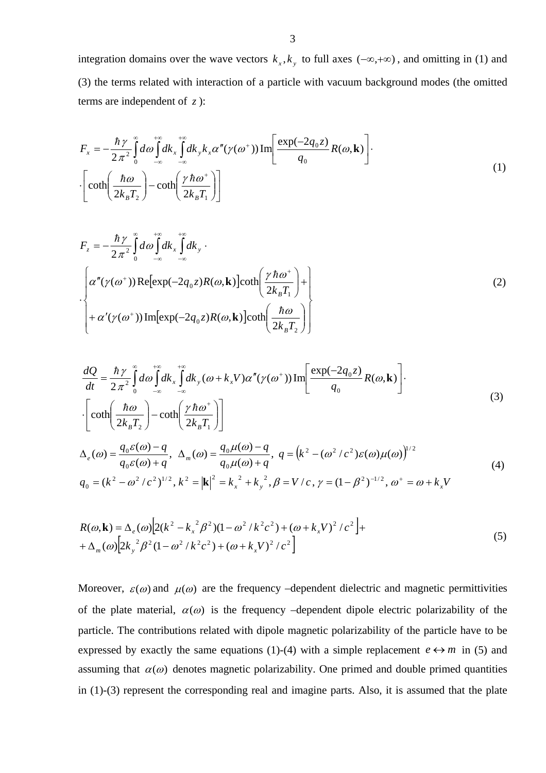integration domains over the wave vectors  $k_x, k_y$  to full axes  $(-\infty, +\infty)$ , and omitting in (1) and (3) the terms related with interaction of a particle with vacuum background modes (the omitted terms are independent of *z* ):

$$
F_x = -\frac{\hbar \gamma}{2\pi^2} \int_0^{\infty} d\omega \int_{-\infty}^{+\infty} dk_x \int_{-\infty}^{+\infty} dk_y k_x \alpha''(\gamma(\omega^+)) \text{Im}\left[\frac{\exp(-2q_0 z)}{q_0} R(\omega, \mathbf{k})\right].
$$
  

$$
\left[\coth\left(\frac{\hbar \omega}{2k_B T_2}\right) - \coth\left(\frac{\gamma \hbar \omega^+}{2k_B T_1}\right)\right]
$$
 (1)

$$
F_z = -\frac{\hbar \gamma}{2\pi^2} \int_0^{\infty} d\omega \int_{-\infty}^{+\infty} dk_x \int_{-\infty}^{+\infty} dk_y
$$
  
\n
$$
\left\{\alpha''(\gamma(\omega^+)) \text{Re}[\exp(-2q_0 z)R(\omega, \mathbf{k})] \text{coth}\left(\frac{\gamma \hbar \omega^+}{2k_B T_1}\right) + \right\}
$$
  
\n
$$
+ \alpha'(\gamma(\omega^+)) \text{Im}[\exp(-2q_0 z)R(\omega, \mathbf{k})] \text{coth}\left(\frac{\hbar \omega}{2k_B T_2}\right)\right\}
$$
 (2)

$$
\frac{dQ}{dt} = \frac{\hbar \gamma}{2\pi^2} \int_0^{\infty} d\omega \int_{-\infty}^{+\infty} dk_x \int_{-\infty}^{+\infty} dk_y (\omega + k_x V) \alpha''(\gamma(\omega^+)) \text{Im}\left[\frac{\exp(-2q_0 z)}{q_0} R(\omega, \mathbf{k})\right].
$$
\n
$$
\cdot \left[\coth\left(\frac{\hbar \omega}{2k_B T_2}\right) - \coth\left(\frac{\gamma \hbar \omega^+}{2k_B T_1}\right)\right]
$$
\n(3)

$$
\Delta_e(\omega) = \frac{q_0 \varepsilon(\omega) - q}{q_0 \varepsilon(\omega) + q}, \ \Delta_m(\omega) = \frac{q_0 \mu(\omega) - q}{q_0 \mu(\omega) + q}, \ q = (k^2 - (\omega^2/c^2) \varepsilon(\omega) \mu(\omega))^{1/2}
$$
  
\n
$$
q_0 = (k^2 - \omega^2/c^2)^{1/2}, \ k^2 = |\mathbf{k}|^2 = k_x^2 + k_y^2, \ \beta = V/c, \ \gamma = (1 - \beta^2)^{-1/2}, \ \omega^+ = \omega + k_x V
$$
\n(4)

$$
R(\omega, \mathbf{k}) = \Delta_e(\omega) \Big[ 2(k^2 - k_x^2) \beta^2 (1 - \omega^2 / k^2 c^2) + (\omega + k_x V)^2 / c^2 \Big] +
$$
  
+ 
$$
\Delta_m(\omega) \Big[ 2k_y^2 \beta^2 (1 - \omega^2 / k^2 c^2) + (\omega + k_x V)^2 / c^2 \Big]
$$
 (5)

Moreover,  $\varepsilon(\omega)$  and  $\mu(\omega)$  are the frequency –dependent dielectric and magnetic permittivities of the plate material,  $\alpha(\omega)$  is the frequency –dependent dipole electric polarizability of the particle. The contributions related with dipole magnetic polarizability of the particle have to be expressed by exactly the same equations (1)-(4) with a simple replacement  $e \leftrightarrow m$  in (5) and assuming that  $\alpha(\omega)$  denotes magnetic polarizability. One primed and double primed quantities in (1)-(3) represent the corresponding real and imagine parts. Also, it is assumed that the plate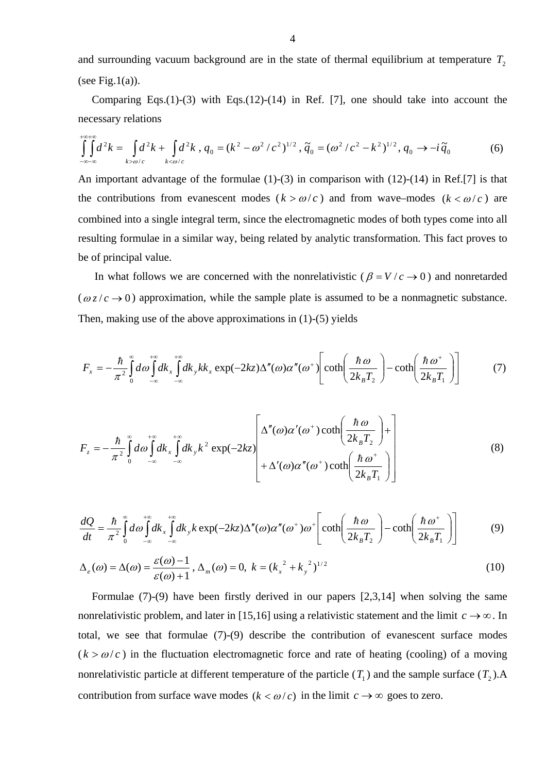and surrounding vacuum background are in the state of thermal equilibrium at temperature  $T_2$ (see Fig.1(a)).

Comparing Eqs.(1)-(3) with Eqs.(12)-(14) in Ref. [7], one should take into account the necessary relations

$$
\int_{-\infty-\infty}^{+\infty} d^2k = \int_{k>\omega/c} d^2k + \int_{k<\omega/c} d^2k, \ q_0 = (k^2 - \omega^2/c^2)^{1/2}, \ \tilde{q}_0 = (\omega^2/c^2 - k^2)^{1/2}, \ q_0 \to -i\,\tilde{q}_0 \tag{6}
$$

An important advantage of the formulae (1)-(3) in comparison with (12)-(14) in Ref.[7] is that the contributions from evanescent modes  $(k > \omega/c)$  and from wave–modes  $(k < \omega/c)$  are combined into a single integral term, since the electromagnetic modes of both types come into all resulting formulae in a similar way, being related by analytic transformation. This fact proves to be of principal value.

In what follows we are concerned with the nonrelativistic ( $\beta = V/c \rightarrow 0$ ) and nonretarded  $(\omega z/c \rightarrow 0)$  approximation, while the sample plate is assumed to be a nonmagnetic substance. Then, making use of the above approximations in (1)-(5) yields

$$
F_x = -\frac{\hbar}{\pi^2} \int_0^{\infty} d\omega \int_{-\infty}^{+\infty} dk_x \int_{-\infty}^{+\infty} dk_y k k_x \exp(-2kz) \Delta''(\omega) \alpha''(\omega^+) \left[ \coth\left(\frac{\hbar \omega}{2k_B T_2}\right) - \coth\left(\frac{\hbar \omega^+}{2k_B T_1}\right) \right] \tag{7}
$$

$$
F_z = -\frac{\hbar}{\pi^2} \int_0^{\infty} d\omega \int_{-\infty}^{+\infty} dk_x \int_{-\infty}^{+\infty} dk_y k^2 \exp(-2kz) \left[ \frac{\Delta''(\omega) \alpha'(\omega^+) \coth\left(\frac{\hbar \omega}{2k_B T_2}\right) + \Delta'(\omega) \alpha''(\omega^+) \coth\left(\frac{\hbar \omega^+}{2k_B T_1}\right) \right]
$$
(8)

$$
\frac{dQ}{dt} = \frac{\hbar}{\pi^2} \int_0^{\infty} d\omega \int_{-\infty}^{+\infty} dk_x \int_{-\infty}^{+\infty} dk_y k \exp(-2kz) \Delta''(\omega) \alpha''(\omega^+) \omega^+ \left[ \coth\left(\frac{\hbar \omega}{2k_B T_2}\right) - \coth\left(\frac{\hbar \omega^+}{2k_B T_1}\right) \right] \tag{9}
$$

$$
\Delta_e(\omega) = \Delta(\omega) = \frac{\varepsilon(\omega) - 1}{\varepsilon(\omega) + 1}, \, \Delta_m(\omega) = 0, \, k = (k_x^2 + k_y^2)^{1/2} \tag{10}
$$

Formulae (7)-(9) have been firstly derived in our papers [2,3,14] when solving the same nonrelativistic problem, and later in [15,16] using a relativistic statement and the limit  $c \rightarrow \infty$ . In total, we see that formulae (7)-(9) describe the contribution of evanescent surface modes  $(k > \omega/c)$  in the fluctuation electromagnetic force and rate of heating (cooling) of a moving nonrelativistic particle at different temperature of the particle  $(T_1)$  and the sample surface  $(T_2)$ . contribution from surface wave modes  $(k < \omega/c)$  in the limit  $c \rightarrow \infty$  goes to zero.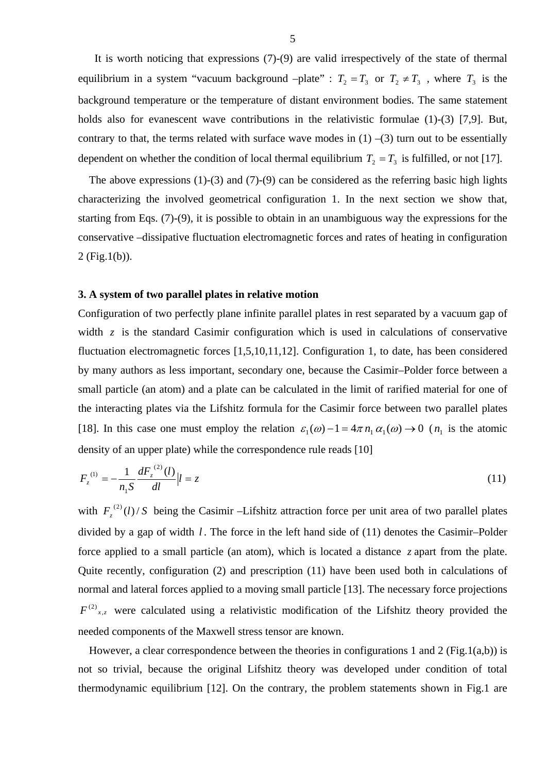It is worth noticing that expressions (7)-(9) are valid irrespectively of the state of thermal equilibrium in a system "vacuum background -plate" :  $T_2 = T_3$  or  $T_2 \neq T_3$ , where  $T_3$  is the background temperature or the temperature of distant environment bodies. The same statement holds also for evanescent wave contributions in the relativistic formulae (1)-(3) [7,9]. But, contrary to that, the terms related with surface wave modes in  $(1)$  –(3) turn out to be essentially dependent on whether the condition of local thermal equilibrium  $T_2 = T_3$  is fulfilled, or not [17].

The above expressions (1)-(3) and (7)-(9) can be considered as the referring basic high lights characterizing the involved geometrical configuration 1. In the next section we show that, starting from Eqs. (7)-(9), it is possible to obtain in an unambiguous way the expressions for the conservative –dissipative fluctuation electromagnetic forces and rates of heating in configuration 2 (Fig.1(b)).

#### **3. A system of two parallel plates in relative motion**

Configuration of two perfectly plane infinite parallel plates in rest separated by a vacuum gap of width  $z$  is the standard Casimir configuration which is used in calculations of conservative fluctuation electromagnetic forces [1,5,10,11,12]. Configuration 1, to date, has been considered by many authors as less important, secondary one, because the Casimir–Polder force between a small particle (an atom) and a plate can be calculated in the limit of rarified material for one of the interacting plates via the Lifshitz formula for the Casimir force between two parallel plates [18]. In this case one must employ the relation  $\varepsilon_1(\omega) - 1 = 4\pi n_1 \alpha_1(\omega) \rightarrow 0$  ( $n_1$  is the atomic density of an upper plate) while the correspondence rule reads [10]

$$
F_z^{(1)} = -\frac{1}{n_1 S} \frac{dF_z^{(2)}(l)}{dl} |l = z \tag{11}
$$

with  $F_z^{(2)}(l)/S$  being the Casimir –Lifshitz attraction force per unit area of two parallel plates divided by a gap of width *l*. The force in the left hand side of (11) denotes the Casimir–Polder force applied to a small particle (an atom), which is located a distance  $z$  apart from the plate. Quite recently, configuration (2) and prescription (11) have been used both in calculations of normal and lateral forces applied to a moving small particle [13]. The necessary force projections  $F^{(2)}_{x,z}$  were calculated using a relativistic modification of the Lifshitz theory provided the needed components of the Maxwell stress tensor are known.

However, a clear correspondence between the theories in configurations 1 and 2 (Fig.1(a,b)) is not so trivial, because the original Lifshitz theory was developed under condition of total thermodynamic equilibrium [12]. On the contrary, the problem statements shown in Fig.1 are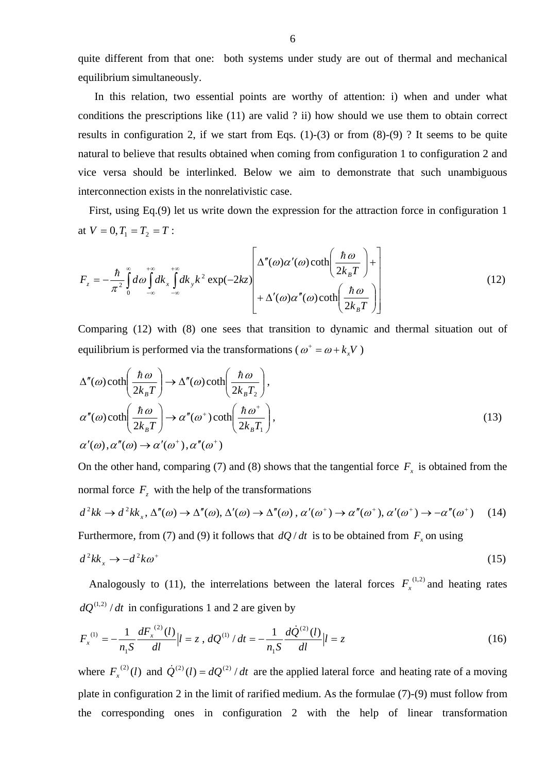quite different from that one: both systems under study are out of thermal and mechanical equilibrium simultaneously.

 In this relation, two essential points are worthy of attention: i) when and under what conditions the prescriptions like (11) are valid ? ii) how should we use them to obtain correct results in configuration 2, if we start from Eqs.  $(1)-(3)$  or from  $(8)-(9)$ ? It seems to be quite natural to believe that results obtained when coming from configuration 1 to configuration 2 and vice versa should be interlinked. Below we aim to demonstrate that such unambiguous interconnection exists in the nonrelativistic case.

First, using Eq.(9) let us write down the expression for the attraction force in configuration 1 at  $V = 0, T_1 = T_2 = T$ :

$$
F_z = -\frac{\hbar}{\pi^2} \int_0^{\infty} d\omega \int_{-\infty}^{+\infty} dk_x \int_{-\infty}^{+\infty} dk_y k^2 \exp(-2kz) \left[ \frac{\Delta''(\omega)\alpha'(\omega)\coth\left(\frac{\hbar\omega}{2k_B T}\right) + \frac{\Delta''(\omega)\alpha''(\omega)\coth\left(\frac{\hbar\omega}{2k_B T}\right)}{\Delta'(\omega)\alpha''(\omega)\coth\left(\frac{\hbar\omega}{2k_B T}\right)} \right] \tag{12}
$$

Comparing (12) with (8) one sees that transition to dynamic and thermal situation out of equilibrium is performed via the transformations ( $\omega^+ = \omega + k_x V$ )

$$
\Delta''(\omega) \coth\left(\frac{\hbar \omega}{2k_B T}\right) \to \Delta''(\omega) \coth\left(\frac{\hbar \omega}{2k_B T_2}\right),
$$
  
\n
$$
\alpha''(\omega) \coth\left(\frac{\hbar \omega}{2k_B T}\right) \to \alpha''(\omega^+) \coth\left(\frac{\hbar \omega^+}{2k_B T_1}\right),
$$
  
\n
$$
\alpha'(\omega), \alpha''(\omega) \to \alpha'(\omega^+), \alpha''(\omega^+)
$$
\n(13)

On the other hand, comparing (7) and (8) shows that the tangential force  $F_x$  is obtained from the normal force  $F_z$  with the help of the transformations

$$
d^{2}kk \to d^{2}kk_{x}, \Delta''(\omega) \to \Delta''(\omega), \Delta'(\omega) \to \Delta''(\omega), \alpha'(\omega^{+}) \to \alpha''(\omega^{+}), \alpha'(\omega^{+}) \to -\alpha''(\omega^{+}) \quad (14)
$$

Furthermore, from (7) and (9) it follows that  $dQ/dt$  is to be obtained from  $F<sub>x</sub>$  on using

$$
d^2k k_x \to -d^2k \omega^+ \tag{15}
$$

Analogously to (11), the interrelations between the lateral forces  $F_x^{(1,2)}$  and heating rates  $dQ^{(1,2)}/dt$  in configurations 1 and 2 are given by

$$
F_x^{(1)} = -\frac{1}{n_1 S} \frac{dF_x^{(2)}(l)}{dl} |l = z, dQ^{(1)}/dt = -\frac{1}{n_1 S} \frac{dQ^{(2)}(l)}{dl} |l = z
$$
 (16)

where  $F_x^{(2)}(l)$  and  $\dot{Q}^{(2)}(l) = dQ^{(2)}/dt$  are the applied lateral force and heating rate of a moving plate in configuration 2 in the limit of rarified medium. As the formulae (7)-(9) must follow from the corresponding ones in configuration 2 with the help of linear transformation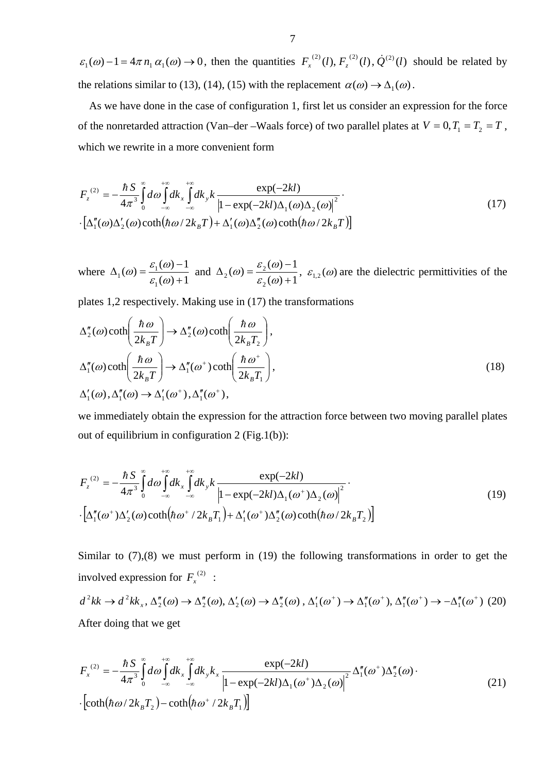$\varepsilon_1(\omega) - 1 = 4\pi n_1 \alpha_1(\omega) \rightarrow 0$ , then the quantities  $F_x^{(2)}(l), F_z^{(2)}(l), \dot{Q}^{(2)}(l)$  should be related by the relations similar to (13), (14), (15) with the replacement  $\alpha(\omega) \rightarrow \Delta_1(\omega)$ .

 As we have done in the case of configuration 1, first let us consider an expression for the force of the nonretarded attraction (Van–der –Waals force) of two parallel plates at  $V = 0, T_1 = T_2 = T$ , which we rewrite in a more convenient form

$$
F_z^{(2)} = -\frac{\hbar S}{4\pi^3} \int_0^{\infty} d\omega \int_{-\infty}^{+\infty} dk_x \int_{-\infty}^{+\infty} dk_y k \frac{\exp(-2kl)}{\left|1 - \exp(-2kl)\Delta_1(\omega)\Delta_2(\omega)\right|^2} \cdot \left[\Delta_1''(\omega)\Delta_2'(\omega)\coth(\hbar\omega/2k_B T) + \Delta_1'(\omega)\Delta_2''(\omega)\coth(\hbar\omega/2k_B T)\right]
$$
(17)

where  $(\omega) + 1$  $\omega = \frac{\varepsilon_1(\omega) - 1}{\omega}$ 1  $\epsilon_1(\omega) = \frac{\epsilon_1(\omega)}{\epsilon_1(\omega)+1}$  $\Delta_1(\omega) = \frac{\varepsilon_1(\omega) - \varepsilon_2(\omega)}{\varepsilon_1(\omega) + \varepsilon_2(\omega)}$  $\omega$ ) =  $\frac{\varepsilon_1(\omega) - 1}{\omega}$  and  $(\omega) + 1$  $\omega = \frac{\varepsilon_2(\omega) - 1}{\omega}$ 2  $\sigma_2(\omega) = \frac{\varepsilon_2(\omega)}{\varepsilon_2(\omega)+1}$  $\Delta_2(\omega) = \frac{\varepsilon_2(\omega) - \varepsilon_2(\omega)}{\varepsilon_2(\omega) + \varepsilon_2(\omega)}$  $\epsilon(\omega) = \frac{\varepsilon_2(\omega) - 1}{\varepsilon_2(\omega) + 1}$ ,  $\varepsilon_{1,2}(\omega)$  are the dielectric permittivities of the

plates 1,2 respectively. Making use in (17) the transformations

$$
\Delta_2''(\omega) \coth\left(\frac{\hbar \omega}{2k_B T}\right) \to \Delta_2''(\omega) \coth\left(\frac{\hbar \omega}{2k_B T_2}\right),
$$
  

$$
\Delta_1''(\omega) \coth\left(\frac{\hbar \omega}{2k_B T}\right) \to \Delta_1''(\omega^+) \coth\left(\frac{\hbar \omega^+}{2k_B T_1}\right),
$$
  

$$
\Delta_1'(\omega), \Delta_1''(\omega) \to \Delta_1'(\omega^+), \Delta_1''(\omega^+),
$$
\n(18)

we immediately obtain the expression for the attraction force between two moving parallel plates out of equilibrium in configuration 2 (Fig.1(b)):

$$
F_z^{(2)} = -\frac{\hbar S}{4\pi^3} \int_0^{\infty} d\omega \int_{-\infty}^{+\infty} dk_x \int_{-\infty}^{+\infty} dk_y k \frac{\exp(-2kl)}{\left|1 - \exp(-2kl)\Delta_1(\omega^+) \Delta_2(\omega)\right|^2}.
$$
  
 
$$
\left[\Delta_1''(\omega^+) \Delta_2'(\omega) \coth(\hbar \omega^+ / 2k_B T_1) + \Delta_1'(\omega^+) \Delta_2''(\omega) \coth(\hbar \omega / 2k_B T_2)\right]
$$
(19)

Similar to  $(7)$ ,  $(8)$  we must perform in  $(19)$  the following transformations in order to get the involved expression for  $F_x^{(2)}$  :

$$
d^2kk \to d^2kk_x, \Delta_2''(\omega) \to \Delta_2''(\omega), \Delta_2'(\omega) \to \Delta_2''(\omega), \Delta_1'(\omega^+) \to \Delta_1''(\omega^+), \Delta_1''(\omega^+) \to -\Delta_1''(\omega^+)
$$
 (20)  
After doing that we get

$$
F_x^{(2)} = -\frac{\hbar S}{4\pi^3} \int_0^{\infty} d\omega \int_{-\infty}^{+\infty} dk_x \int_{-\infty}^{+\infty} dk_y k_x \frac{\exp(-2kl)}{\left|1 - \exp(-2kl)\Delta_1(\omega^+) \Delta_2(\omega)\right|^2} \Delta_1''(\omega^+) \Delta_2''(\omega) \cdot \left[\coth(\hbar\omega/2k_B T_2) - \coth(\hbar\omega^+/2k_B T_1)\right]
$$
(21)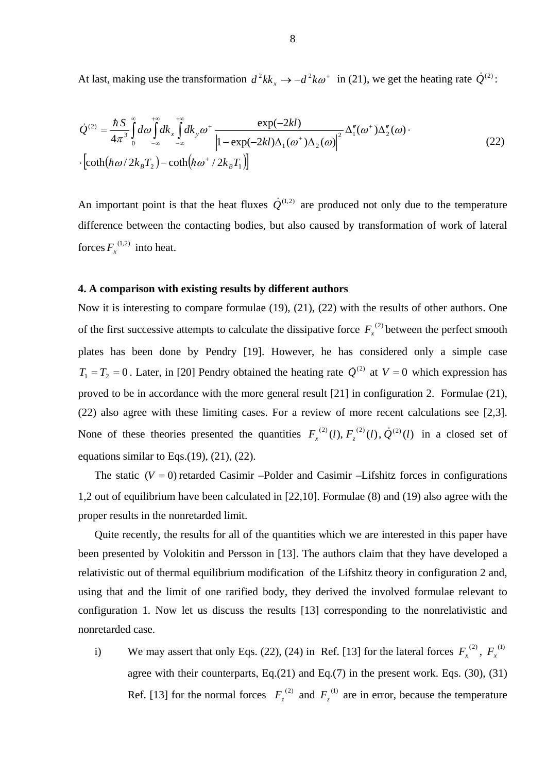At last, making use the transformation  $d^2kk_x \rightarrow -d^2k\omega^+$  in (21), we get the heating rate  $\dot{Q}^{(2)}$ :

$$
\dot{Q}^{(2)} = \frac{\hbar S}{4\pi^3} \int_0^\infty d\omega \int_{-\infty}^{+\infty} dk_x \int_{-\infty}^{+\infty} dk_y \omega^+ \frac{\exp(-2kl)}{\left|1 - \exp(-2kl)\Delta_1(\omega^+) \Delta_2(\omega)\right|^2} \Delta_1''(\omega^+) \Delta_2''(\omega) \cdot \left[\coth(\hbar\omega/2k_B T_2) - \coth(\hbar\omega^+/2k_B T_1)\right]
$$
\n(22)

An important point is that the heat fluxes  $\dot{Q}^{(1,2)}$  are produced not only due to the temperature difference between the contacting bodies, but also caused by transformation of work of lateral forces  $F_x^{(1,2)}$  into heat.

## **4. A comparison with existing results by different authors**

Now it is interesting to compare formulae (19), (21), (22) with the results of other authors. One of the first successive attempts to calculate the dissipative force  $F_x^{(2)}$  between the perfect smooth plates has been done by Pendry [19]. However, he has considered only a simple case  $T_1 = T_2 = 0$ . Later, in [20] Pendry obtained the heating rate  $\dot{Q}^{(2)}$  at  $V = 0$  which expression has proved to be in accordance with the more general result [21] in configuration 2. Formulae (21), (22) also agree with these limiting cases. For a review of more recent calculations see [2,3]. None of these theories presented the quantities  $F_x^{(2)}(l), F_z^{(2)}(l), \dot{Q}^{(2)}(l)$  in a closed set of equations similar to Eqs. $(19)$ ,  $(21)$ ,  $(22)$ .

The static  $(V = 0)$  retarded Casimir –Polder and Casimir –Lifshitz forces in configurations 1,2 out of equilibrium have been calculated in [22,10]. Formulae (8) and (19) also agree with the proper results in the nonretarded limit.

 Quite recently, the results for all of the quantities which we are interested in this paper have been presented by Volokitin and Persson in [13]. The authors claim that they have developed a relativistic out of thermal equilibrium modification of the Lifshitz theory in configuration 2 and, using that and the limit of one rarified body, they derived the involved formulae relevant to configuration 1. Now let us discuss the results [13] corresponding to the nonrelativistic and nonretarded case.

i) We may assert that only Eqs. (22), (24) in Ref. [13] for the lateral forces  $F_x^{(2)}$ ,  $F_x^{(1)}$ agree with their counterparts,  $Eq.(21)$  and  $Eq.(7)$  in the present work. Eqs. (30), (31) Ref. [13] for the normal forces  $F_z^{(2)}$  and  $F_z^{(1)}$  are in error, because the temperature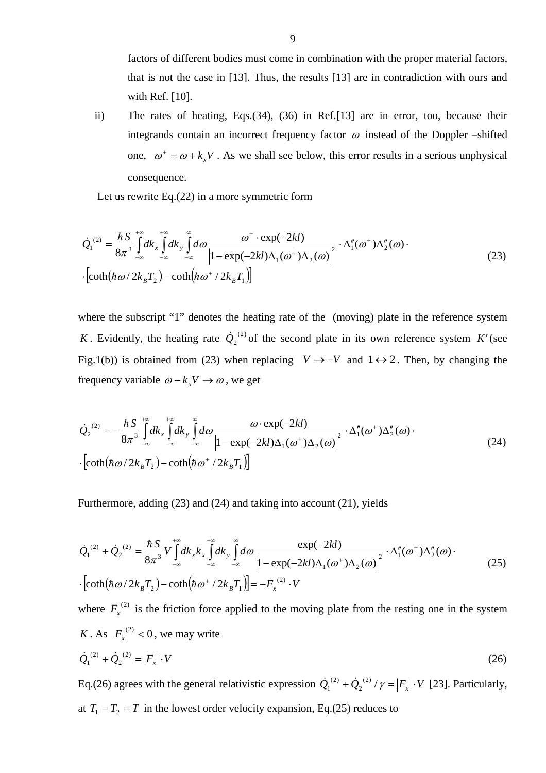factors of different bodies must come in combination with the proper material factors, that is not the case in [13]. Thus, the results [13] are in contradiction with ours and with Ref. [10].

ii) The rates of heating, Eqs.(34), (36) in Ref.[13] are in error, too, because their integrands contain an incorrect frequency factor  $\omega$  instead of the Doppler –shifted one,  $\omega^+ = \omega + k_x V$ . As we shall see below, this error results in a serious unphysical consequence.

Let us rewrite Eq.(22) in a more symmetric form

$$
\dot{Q}_1^{(2)} = \frac{\hbar S}{8\pi^3} \int_{-\infty}^{+\infty} dk_x \int_{-\infty}^{+\infty} d\omega \frac{\omega^+ \cdot \exp(-2kl)}{\left|1 - \exp(-2kl)\Delta_1(\omega^+) \Delta_2(\omega)\right|^2} \cdot \Delta_1''(\omega^+) \Delta_2''(\omega) \cdot \left[\coth(\hbar\omega/2k_B T_2) - \coth(\hbar\omega^+/2k_B T_1)\right]
$$
\n(23)

where the subscript "1" denotes the heating rate of the (moving) plate in the reference system *K*. Evidently, the heating rate  $\dot{Q}_2^{\,(2)}$  of the second plate in its own reference system *K*<sup>'</sup>(see Fig.1(b)) is obtained from (23) when replacing  $V \rightarrow -V$  and  $1 \leftrightarrow 2$ . Then, by changing the frequency variable  $\omega - k_y V \rightarrow \omega$ , we get

$$
\dot{Q}_{2}^{(2)} = -\frac{\hbar S}{8\pi^{3}} \int_{-\infty}^{+\infty} dk_{x} \int_{-\infty}^{+\infty} dk_{y} \int_{-\infty}^{\infty} d\omega \frac{\omega \cdot \exp(-2kl)}{\left|1 - \exp(-2kl)\Delta_{1}(\omega^{+})\Delta_{2}(\omega)\right|^{2}} \cdot \Delta_{1}''(\omega^{+})\Delta_{2}''(\omega) \cdot \left[\coth(\hbar\omega/2k_{B}T_{2}) - \coth(\hbar\omega^{+}/2k_{B}T_{1})\right]
$$
\n(24)

Furthermore, adding (23) and (24) and taking into account (21), yields

$$
\dot{Q}_{1}^{(2)} + \dot{Q}_{2}^{(2)} = \frac{\hbar S}{8\pi^{3}} V \int_{-\infty}^{+\infty} dk_{x} k_{x} \int_{-\infty}^{+\infty} d\omega \frac{\exp(-2kl)}{\left|1 - \exp(-2kl)\Delta_{1}(\omega^{+})\Delta_{2}(\omega)\right|^{2}} \cdot \Delta_{1}''(\omega^{+})\Delta_{2}''(\omega) \cdot \left[\coth(\hbar\omega/2k_{B}T_{2}) - \coth(\hbar\omega^{+}/2k_{B}T_{1})\right] = -F_{x}^{(2)} \cdot V \tag{25}
$$

where  $F_x^{(2)}$  is the friction force applied to the moving plate from the resting one in the system *K* . As  $F_x^{(2)} < 0$ , we may write

$$
\dot{Q}_1^{(2)} + \dot{Q}_2^{(2)} = |F_x| \cdot V \tag{26}
$$

Eq.(26) agrees with the general relativistic expression  $\dot{Q}_1^{(2)} + \dot{Q}_2^{(2)}/\gamma = |F_x| \cdot V$ (2)  $\dot{Q}_1^{(2)} + \dot{Q}_2^{(2)}/\gamma = |F_x| \cdot V$  [23]. Particularly, at  $T_1 = T_2 = T$  in the lowest order velocity expansion, Eq.(25) reduces to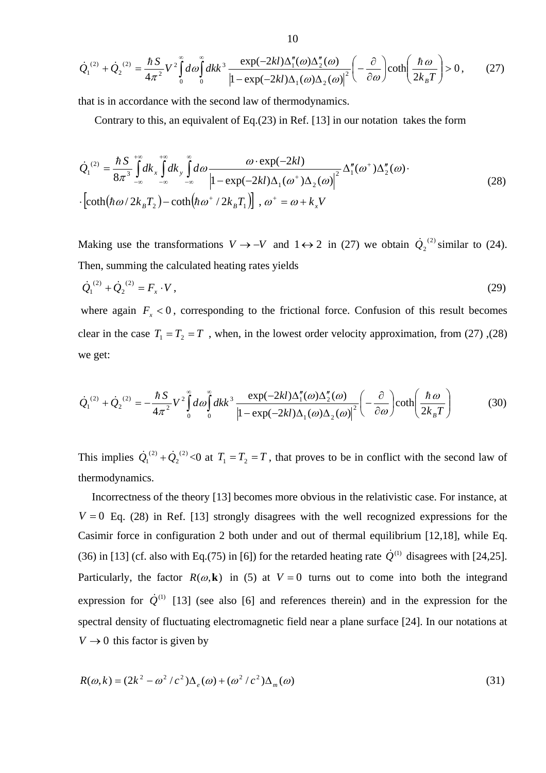$$
\dot{Q}_1^{(2)} + \dot{Q}_2^{(2)} = \frac{\hbar S}{4\pi^2} V^2 \int_0^\infty d\omega \int_0^\infty dk k^3 \frac{\exp(-2kl)\Delta_1''(\omega)\Delta_2''(\omega)}{\left|1 - \exp(-2kl)\Delta_1(\omega)\Delta_2(\omega)\right|^2} \left(-\frac{\partial}{\partial \omega}\right) \coth\left(\frac{\hbar \omega}{2k_B T}\right) > 0, \quad (27)
$$

that is in accordance with the second law of thermodynamics.

Contrary to this, an equivalent of Eq.(23) in Ref. [13] in our notation takes the form

$$
\dot{Q}_{1}^{(2)} = \frac{\hbar S}{8\pi^{3}} \int_{-\infty}^{+\infty} dk_{y} \int_{-\infty}^{\infty} d\omega \frac{\omega \cdot \exp(-2kl)}{\left|1 - \exp(-2kl)\Delta_{1}(\omega^{+})\Delta_{2}(\omega)\right|^{2}} \Delta_{1}''(\omega^{+})\Delta_{2}''(\omega) \cdot
$$
\n
$$
\left[\coth(\hbar\omega/2k_{B}T_{2}) - \coth(\hbar\omega^{+}/2k_{B}T_{1})\right], \omega^{+} = \omega + k_{x}V
$$
\n(28)

Making use the transformations  $V \rightarrow -V$  and  $1 \leftrightarrow 2$  in (27) we obtain  $\dot{Q_2}^{(2)}$  similar to (24). Then, summing the calculated heating rates yields

$$
\dot{Q}_1^{(2)} + \dot{Q}_2^{(2)} = F_x \cdot V \,, \tag{29}
$$

where again  $F_x < 0$ , corresponding to the frictional force. Confusion of this result becomes clear in the case  $T_1 = T_2 = T$ , when, in the lowest order velocity approximation, from (27), (28) we get:

$$
\dot{Q}_1^{(2)} + \dot{Q}_2^{(2)} = -\frac{\hbar S}{4\pi^2} V^2 \int_0^\infty d\omega \int_0^\infty dk k^3 \frac{\exp(-2kl)\Delta_1''(\omega)\Delta_2''(\omega)}{\left|1 - \exp(-2kl)\Delta_1(\omega)\Delta_2(\omega)\right|^2} \left(-\frac{\partial}{\partial \omega}\right) \coth\left(\frac{\hbar \omega}{2k_B T}\right) \tag{30}
$$

This implies  $\dot{Q}_1^{(2)} + \dot{Q}_2^{(2)} < 0$  at  $T_1 = T_2 = T$ , that proves to be in conflict with the second law of thermodynamics.

 Incorrectness of the theory [13] becomes more obvious in the relativistic case. For instance, at  $V = 0$  Eq. (28) in Ref. [13] strongly disagrees with the well recognized expressions for the Casimir force in configuration 2 both under and out of thermal equilibrium [12,18], while Eq. (36) in [13] (cf. also with Eq.(75) in [6]) for the retarded heating rate  $\dot{Q}^{(1)}$  disagrees with [24,25]. Particularly, the factor  $R(\omega, \mathbf{k})$  in (5) at  $V = 0$  turns out to come into both the integrand expression for  $\dot{Q}^{(1)}$  [13] (see also [6] and references therein) and in the expression for the spectral density of fluctuating electromagnetic field near a plane surface [24]. In our notations at  $V \rightarrow 0$  this factor is given by

$$
R(\omega, k) = (2k^2 - \omega^2/c^2)\Delta_e(\omega) + (\omega^2/c^2)\Delta_m(\omega)
$$
\n(31)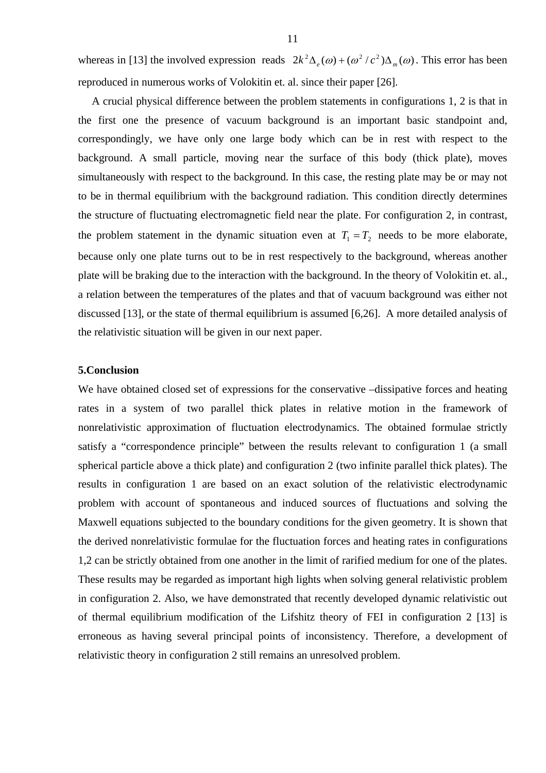whereas in [13] the involved expression reads  $2k^2\Delta_e(\omega) + (\omega^2/c^2)\Delta_m(\omega)$ . This error has been reproduced in numerous works of Volokitin et. al. since their paper [26].

A crucial physical difference between the problem statements in configurations 1, 2 is that in the first one the presence of vacuum background is an important basic standpoint and, correspondingly, we have only one large body which can be in rest with respect to the background. A small particle, moving near the surface of this body (thick plate), moves simultaneously with respect to the background. In this case, the resting plate may be or may not to be in thermal equilibrium with the background radiation. This condition directly determines the structure of fluctuating electromagnetic field near the plate. For configuration 2, in contrast, the problem statement in the dynamic situation even at  $T_1 = T_2$  needs to be more elaborate, because only one plate turns out to be in rest respectively to the background, whereas another plate will be braking due to the interaction with the background. In the theory of Volokitin et. al., a relation between the temperatures of the plates and that of vacuum background was either not discussed [13], or the state of thermal equilibrium is assumed [6,26]. A more detailed analysis of the relativistic situation will be given in our next paper.

## **5.Conclusion**

We have obtained closed set of expressions for the conservative –dissipative forces and heating rates in a system of two parallel thick plates in relative motion in the framework of nonrelativistic approximation of fluctuation electrodynamics. The obtained formulae strictly satisfy a "correspondence principle" between the results relevant to configuration 1 (a small spherical particle above a thick plate) and configuration 2 (two infinite parallel thick plates). The results in configuration 1 are based on an exact solution of the relativistic electrodynamic problem with account of spontaneous and induced sources of fluctuations and solving the Maxwell equations subjected to the boundary conditions for the given geometry. It is shown that the derived nonrelativistic formulae for the fluctuation forces and heating rates in configurations 1,2 can be strictly obtained from one another in the limit of rarified medium for one of the plates. These results may be regarded as important high lights when solving general relativistic problem in configuration 2. Also, we have demonstrated that recently developed dynamic relativistic out of thermal equilibrium modification of the Lifshitz theory of FEI in configuration 2 [13] is erroneous as having several principal points of inconsistency. Therefore, a development of relativistic theory in configuration 2 still remains an unresolved problem.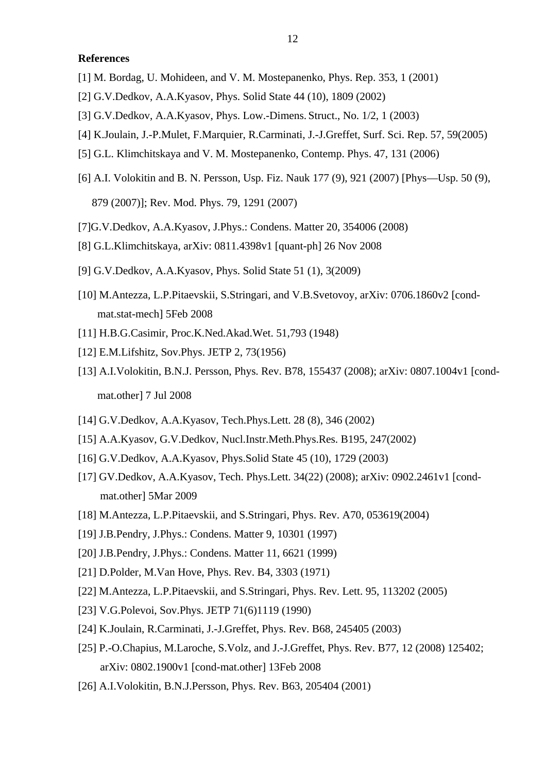# **References**

- [1] M. Bordag, U. Mohideen, and V. M. Mostepanenko, Phys. Rep. 353, 1 (2001)
- [2] G.V.Dedkov, A.A.Kyasov, Phys. Solid State 44 (10), 1809 (2002)
- [3] G.V.Dedkov, A.A.Kyasov, Phys. Low.-Dimens. Struct., No. 1/2, 1 (2003)
- [4] K.Joulain, J.-P.Mulet, F.Marquier, R.Carminati, J.-J.Greffet, Surf. Sci. Rep. 57, 59(2005)
- [5] G.L. Klimchitskaya and V. M. Mostepanenko, Contemp. Phys. 47, 131 (2006)
- [6] A.I. Volokitin and B. N. Persson, Usp. Fiz. Nauk 177 (9), 921 (2007) [Phys—Usp. 50 (9), 879 (2007)]; Rev. Mod. Phys. 79, 1291 (2007)
- [7]G.V.Dedkov, A.A.Kyasov, J.Phys.: Condens. Matter 20, 354006 (2008)
- [8] G.L.Klimchitskaya, arXiv: 0811.4398v1 [quant-ph] 26 Nov 2008
- [9] G.V.Dedkov, A.A.Kyasov, Phys. Solid State 51 (1), 3(2009)
- [10] M.Antezza, L.P.Pitaevskii, S.Stringari, and V.B.Svetovoy, arXiv: 0706.1860v2 [cond mat.stat-mech] 5Feb 2008
- [11] H.B.G.Casimir, Proc.K.Ned.Akad.Wet. 51,793 (1948)
- [12] E.M.Lifshitz, Sov.Phys. JETP 2, 73(1956)
- [13] A.I.Volokitin, B.N.J. Persson, Phys. Rev. B78, 155437 (2008); arXiv: 0807.1004v1 [cond mat.other] 7 Jul 2008
- [14] G.V.Dedkov, A.A.Kyasov, Tech.Phys.Lett. 28 (8), 346 (2002)
- [15] A.A.Kyasov, G.V.Dedkov, Nucl.Instr.Meth.Phys.Res. B195, 247(2002)
- [16] G.V.Dedkov, A.A.Kyasov, Phys.Solid State 45 (10), 1729 (2003)
- [17] GV.Dedkov, A.A.Kyasov, Tech. Phys.Lett. 34(22) (2008); arXiv: 0902.2461v1 [cond mat.other] 5Mar 2009
- [18] M.Antezza, L.P.Pitaevskii, and S.Stringari, Phys. Rev. A70, 053619(2004)
- [19] J.B.Pendry, J.Phys.: Condens. Matter 9, 10301 (1997)
- [20] J.B.Pendry, J.Phys.: Condens. Matter 11, 6621 (1999)
- [21] D.Polder, M.Van Hove, Phys. Rev. B4, 3303 (1971)
- [22] M.Antezza, L.P.Pitaevskii, and S.Stringari, Phys. Rev. Lett. 95, 113202 (2005)
- [23] V.G.Polevoi, Sov.Phys. JETP 71(6)1119 (1990)
- [24] K.Joulain, R.Carminati, J.-J.Greffet, Phys. Rev. B68, 245405 (2003)
- [25] P.-O.Chapius, M.Laroche, S.Volz, and J.-J.Greffet, Phys. Rev. B77, 12 (2008) 125402; arXiv: 0802.1900v1 [cond-mat.other] 13Feb 2008
- [26] A.I. Volokitin, B.N.J. Persson, Phys. Rev. B63, 205404 (2001)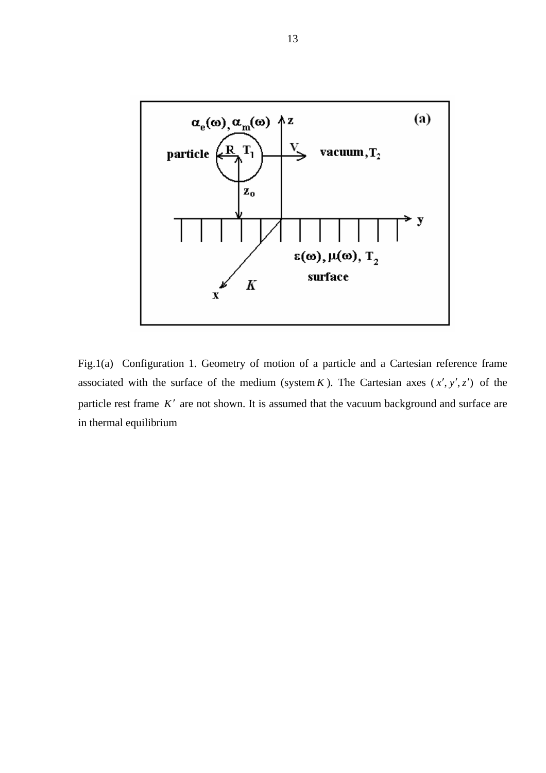

Fig.1(a) Configuration 1. Geometry of motion of a particle and a Cartesian reference frame associated with the surface of the medium (system  $K$ ). The Cartesian axes  $(x', y', z')$  of the particle rest frame *K*′ are not shown. It is assumed that the vacuum background and surface are in thermal equilibrium